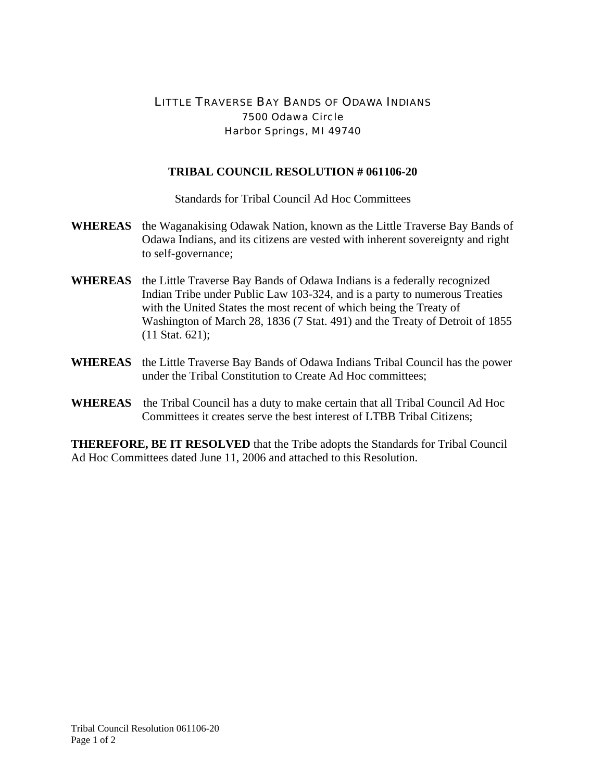## LITTLE TRAVERSE BAY BANDS OF ODAWA INDIANS 7500 Odawa Circle Harbor Springs, MI 49740

## **TRIBAL COUNCIL RESOLUTION # 061106-20**

Standards for Tribal Council Ad Hoc Committees

- **WHEREAS** the Waganakising Odawak Nation, known as the Little Traverse Bay Bands of Odawa Indians, and its citizens are vested with inherent sovereignty and right to self-governance;
- **WHEREAS** the Little Traverse Bay Bands of Odawa Indians is a federally recognized Indian Tribe under Public Law 103-324, and is a party to numerous Treaties with the United States the most recent of which being the Treaty of Washington of March 28, 1836 (7 Stat. 491) and the Treaty of Detroit of 1855 (11 Stat. 621);
- **WHEREAS** the Little Traverse Bay Bands of Odawa Indians Tribal Council has the power under the Tribal Constitution to Create Ad Hoc committees;
- **WHEREAS** the Tribal Council has a duty to make certain that all Tribal Council Ad Hoc Committees it creates serve the best interest of LTBB Tribal Citizens;

**THEREFORE, BE IT RESOLVED** that the Tribe adopts the Standards for Tribal Council Ad Hoc Committees dated June 11, 2006 and attached to this Resolution.